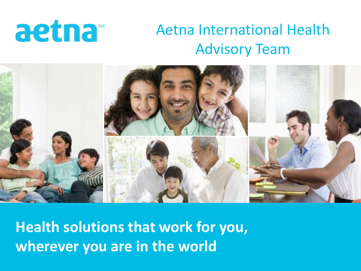# aetna<sup>®</sup>

### Aetna International Health Advisory Team



**Health solutions that work for you, wherever you are in the world**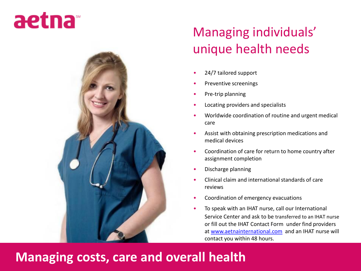## aetna



#### Managing individuals' unique health needs

- 24/7 tailored support
- Preventive screenings
- Pre-trip planning
- Locating providers and specialists
- Worldwide coordination of routine and urgent medical care
- Assist with obtaining prescription medications and medical devices
- Coordination of care for return to home country after assignment completion
- Discharge planning
- Clinical claim and international standards of care reviews
- Coordination of emergency evacuations
- To speak with an IHAT nurse, call our International Service Center and ask to be transferred to an IHAT nurse or fill out the IHAT Contact Form under find providers at [www.aetnainternational.com](http://www.aetnainternational.com/) and an IHAT nurse will contact you within 48 hours.

#### **Managing costs, care and overall health**